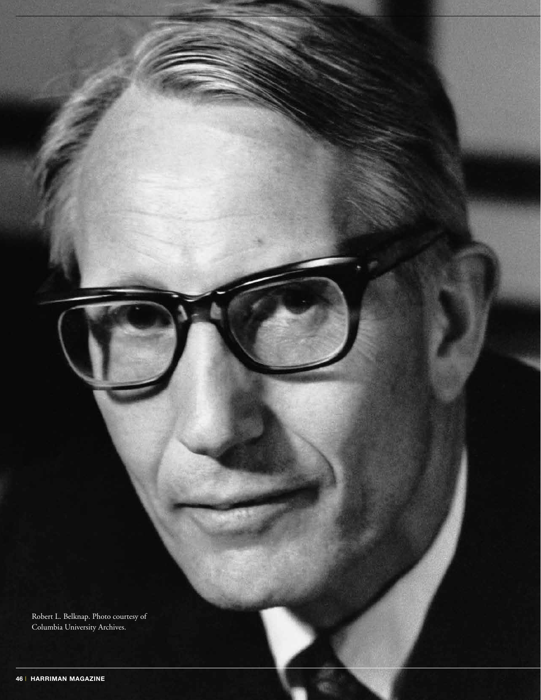Robert L. Belknap. Photo courtesy of Columbia University Archives.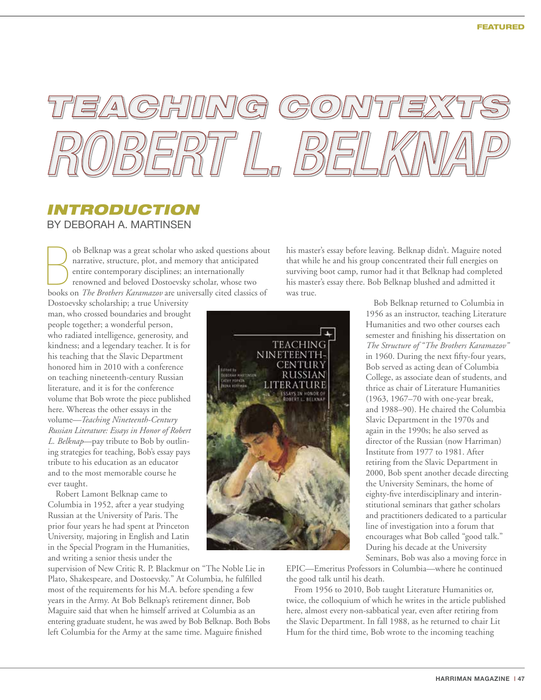

## By Deborah A. Martinsen *Introduction*

ob Belknap was a great scholar who asked questions about narrative, structure, plot, and memory that anticipated entire contemporary disciplines; an internationally renowned and beloved Dostoevsky scholar, whose two books ob Belknap was a great scholar who asked questions about narrative, structure, plot, and memory that anticipated entire contemporary disciplines; an internationally renowned and beloved Dostoevsky scholar, whose two

Dostoevsky scholarship; a true University man, who crossed boundaries and brought people together; a wonderful person, who radiated intelligence, generosity, and kindness; and a legendary teacher. It is for his teaching that the Slavic Department honored him in 2010 with a conference on teaching nineteenth-century Russian literature, and it is for the conference volume that Bob wrote the piece published here. Whereas the other essays in the volume—*Teaching Nineteenth-Century Russian Literature: Essays in Honor of Robert L. Belknap*—pay tribute to Bob by outlining strategies for teaching, Bob's essay pays tribute to his education as an educator and to the most memorable course he ever taught.

Robert Lamont Belknap came to Columbia in 1952, after a year studying Russian at the University of Paris. The prior four years he had spent at Princeton University, majoring in English and Latin in the Special Program in the Humanities, and writing a senior thesis under the

supervision of New Critic R. P. Blackmur on "The Noble Lie in Plato, Shakespeare, and Dostoevsky." At Columbia, he fulfilled most of the requirements for his M.A. before spending a few years in the Army. At Bob Belknap's retirement dinner, Bob Maguire said that when he himself arrived at Columbia as an entering graduate student, he was awed by Bob Belknap. Both Bobs left Columbia for the Army at the same time. Maguire finished

his master's essay before leaving. Belknap didn't. Maguire noted that while he and his group concentrated their full energies on surviving boot camp, rumor had it that Belknap had completed his master's essay there. Bob Belknap blushed and admitted it was true.



Bob Belknap returned to Columbia in 1956 as an instructor, teaching Literature Humanities and two other courses each semester and finishing his dissertation on *The Structure of "The Brothers Karamazov"* in 1960. During the next fifty-four years, Bob served as acting dean of Columbia College, as associate dean of students, and thrice as chair of Literature Humanities (1963, 1967–70 with one-year break, and 1988–90). He chaired the Columbia Slavic Department in the 1970s and again in the 1990s; he also served as director of the Russian (now Harriman) Institute from 1977 to 1981. After retiring from the Slavic Department in 2000, Bob spent another decade directing the University Seminars, the home of eighty-five interdisciplinary and interinstitutional seminars that gather scholars and practitioners dedicated to a particular line of investigation into a forum that encourages what Bob called "good talk." During his decade at the University Seminars, Bob was also a moving force in

EPIC—Emeritus Professors in Columbia—where he continued the good talk until his death.

From 1956 to 2010, Bob taught Literature Humanities or, twice, the colloquium of which he writes in the article published here, almost every non-sabbatical year, even after retiring from the Slavic Department. In fall 1988, as he returned to chair Lit Hum for the third time, Bob wrote to the incoming teaching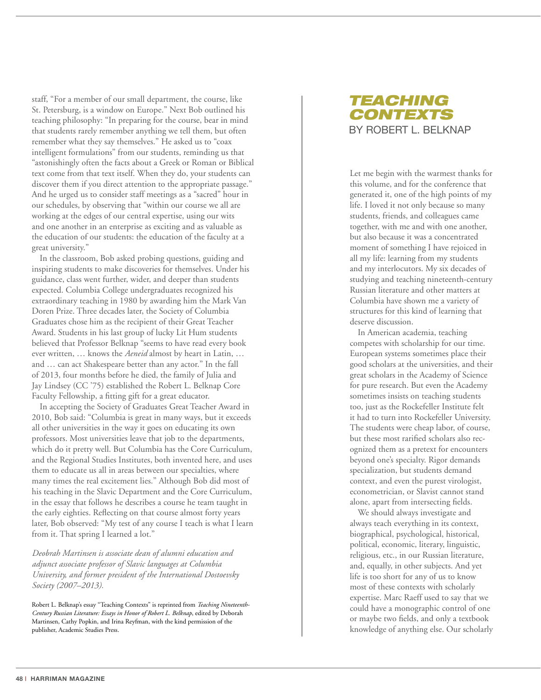staff, "For a member of our small department, the course, like St. Petersburg, is a window on Europe." Next Bob outlined his teaching philosophy: "In preparing for the course, bear in mind that students rarely remember anything we tell them, but often remember what they say themselves." He asked us to "coax intelligent formulations" from our students, reminding us that "astonishingly often the facts about a Greek or Roman or Biblical text come from that text itself. When they do, your students can discover them if you direct attention to the appropriate passage." And he urged us to consider staff meetings as a "sacred" hour in our schedules, by observing that "within our course we all are working at the edges of our central expertise, using our wits and one another in an enterprise as exciting and as valuable as the education of our students: the education of the faculty at a great university."

In the classroom, Bob asked probing questions, guiding and inspiring students to make discoveries for themselves. Under his guidance, class went further, wider, and deeper than students expected. Columbia College undergraduates recognized his extraordinary teaching in 1980 by awarding him the Mark Van Doren Prize. Three decades later, the Society of Columbia Graduates chose him as the recipient of their Great Teacher Award. Students in his last group of lucky Lit Hum students believed that Professor Belknap "seems to have read every book ever written, … knows the *Aeneid* almost by heart in Latin, … and … can act Shakespeare better than any actor." In the fall of 2013, four months before he died, the family of Julia and Jay Lindsey (CC '75) established the Robert L. Belknap Core Faculty Fellowship, a fitting gift for a great educator.

In accepting the Society of Graduates Great Teacher Award in 2010, Bob said: "Columbia is great in many ways, but it exceeds all other universities in the way it goes on educating its own professors. Most universities leave that job to the departments, which do it pretty well. But Columbia has the Core Curriculum, and the Regional Studies Institutes, both invented here, and uses them to educate us all in areas between our specialties, where many times the real excitement lies." Although Bob did most of his teaching in the Slavic Department and the Core Curriculum, in the essay that follows he describes a course he team taught in the early eighties. Reflecting on that course almost forty years later, Bob observed: "My test of any course I teach is what I learn from it. That spring I learned a lot."

*Deobrah Martinsen is associate dean of alumni education and adjunct associate professor of Slavic languages at Columbia University, and former president of the International Dostoevsky Society (2007–2013).* 

Robert L. Belknap's essay "Teaching Contexts" is reprinted from *Teaching Nineteenth-Century Russian Literature: Essays in Honor of Robert L. Belknap*, edited by Deborah Martinsen, Cathy Popkin, and Irina Reyfman, with the kind permission of the publisher, Academic Studies Press.

## By Robert L. Belknap *Contexts Teaching*

Let me begin with the warmest thanks for this volume, and for the conference that generated it, one of the high points of my life. I loved it not only because so many students, friends, and colleagues came together, with me and with one another, but also because it was a concentrated moment of something I have rejoiced in all my life: learning from my students and my interlocutors. My six decades of studying and teaching nineteenth-century Russian literature and other matters at Columbia have shown me a variety of structures for this kind of learning that deserve discussion.

In American academia, teaching competes with scholarship for our time. European systems sometimes place their good scholars at the universities, and their great scholars in the Academy of Science for pure research. But even the Academy sometimes insists on teaching students too, just as the Rockefeller Institute felt it had to turn into Rockefeller University. The students were cheap labor, of course, but these most rarified scholars also recognized them as a pretext for encounters beyond one's specialty. Rigor demands specialization, but students demand context, and even the purest virologist, econometrician, or Slavist cannot stand alone, apart from intersecting fields.

We should always investigate and always teach everything in its context, biographical, psychological, historical, political, economic, literary, linguistic, religious, etc., in our Russian literature, and, equally, in other subjects. And yet life is too short for any of us to know most of these contexts with scholarly expertise. Marc Raeff used to say that we could have a monographic control of one or maybe two fields, and only a textbook knowledge of anything else. Our scholarly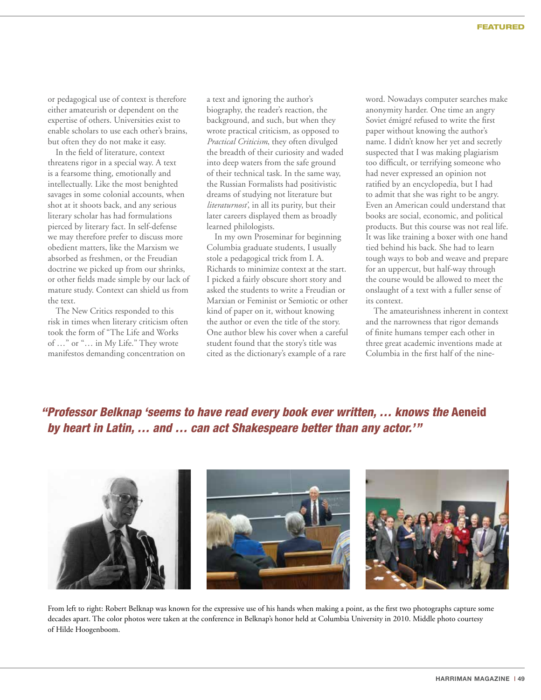or pedagogical use of context is therefore either amateurish or dependent on the expertise of others. Universities exist to enable scholars to use each other's brains, but often they do not make it easy.

In the field of literature, context threatens rigor in a special way. A text is a fearsome thing, emotionally and intellectually. Like the most benighted savages in some colonial accounts, when shot at it shoots back, and any serious literary scholar has had formulations pierced by literary fact. In self-defense we may therefore prefer to discuss more obedient matters, like the Marxism we absorbed as freshmen, or the Freudian doctrine we picked up from our shrinks, or other fields made simple by our lack of mature study. Context can shield us from the text.

The New Critics responded to this risk in times when literary criticism often took the form of "The Life and Works of …" or "… in My Life." They wrote manifestos demanding concentration on

a text and ignoring the author's biography, the reader's reaction, the background, and such, but when they wrote practical criticism, as opposed to *Practical Criticism*, they often divulged the breadth of their curiosity and waded into deep waters from the safe ground of their technical task. In the same way, the Russian Formalists had positivistic dreams of studying not literature but *literaturnost'*, in all its purity, but their later careers displayed them as broadly learned philologists.

In my own Proseminar for beginning Columbia graduate students, I usually stole a pedagogical trick from I. A. Richards to minimize context at the start. I picked a fairly obscure short story and asked the students to write a Freudian or Marxian or Feminist or Semiotic or other kind of paper on it, without knowing the author or even the title of the story. One author blew his cover when a careful student found that the story's title was cited as the dictionary's example of a rare

word. Nowadays computer searches make anonymity harder. One time an angry Soviet émigré refused to write the first paper without knowing the author's name. I didn't know her yet and secretly suspected that I was making plagiarism too difficult, or terrifying someone who had never expressed an opinion not ratified by an encyclopedia, but I had to admit that she was right to be angry. Even an American could understand that books are social, economic, and political products. But this course was not real life. It was like training a boxer with one hand tied behind his back. She had to learn tough ways to bob and weave and prepare for an uppercut, but half-way through the course would be allowed to meet the onslaught of a text with a fuller sense of its context.

The amateurishness inherent in context and the narrowness that rigor demands of finite humans temper each other in three great academic inventions made at Columbia in the first half of the nine-

## *"Professor Belknap 'seems to have read every book ever written, … knows the* Aeneid *by heart in Latin, … and … can act Shakespeare better than any actor.'"*



From left to right: Robert Belknap was known for the expressive use of his hands when making a point, as the first two photographs capture some decades apart. The color photos were taken at the conference in Belknap's honor held at Columbia University in 2010. Middle photo courtesy of Hilde Hoogenboom.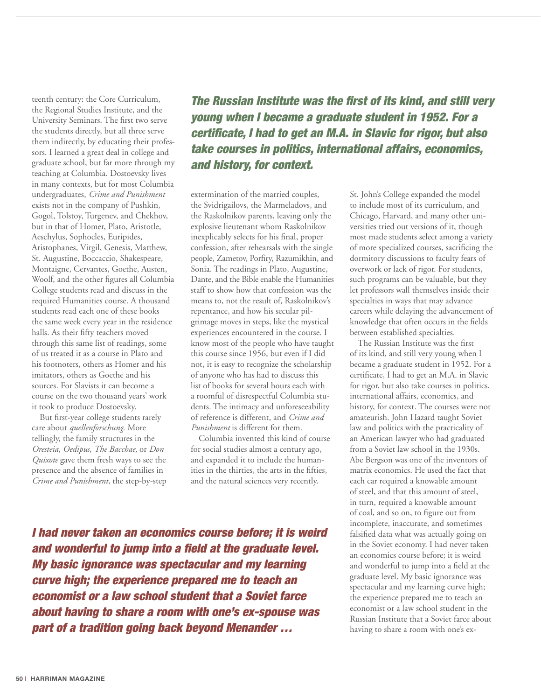teenth century: the Core Curriculum, the Regional Studies Institute, and the University Seminars. The first two serve the students directly, but all three serve them indirectly, by educating their professors. I learned a great deal in college and graduate school, but far more through my teaching at Columbia. Dostoevsky lives in many contexts, but for most Columbia undergraduates, *Crime and Punishment* exists not in the company of Pushkin, Gogol, Tolstoy, Turgenev, and Chekhov, but in that of Homer, Plato, Aristotle, Aeschylus, Sophocles, Euripides, Aristophanes, Virgil, Genesis, Matthew, St. Augustine, Boccaccio, Shakespeare, Montaigne, Cervantes, Goethe, Austen, Woolf, and the other figures all Columbia College students read and discuss in the required Humanities course. A thousand students read each one of these books the same week every year in the residence halls. As their fifty teachers moved through this same list of readings, some of us treated it as a course in Plato and his footnoters, others as Homer and his imitators, others as Goethe and his sources. For Slavists it can become a course on the two thousand years' work it took to produce Dostoevsky.

But first-year college students rarely care about *quellenforschung*. More tellingly, the family structures in the *Oresteia*, *Oedipus*, *The Bacchae*, or *Don Quixote* gave them fresh ways to see the presence and the absence of families in *Crime and Punishment*, the step-by-step

*The Russian Institute was the first of its kind, and still very young when I became a graduate student in 1952. For a certificate, I had to get an M.A. in Slavic for rigor, but also take courses in politics, international affairs, economics, and history, for context.*

extermination of the married couples, the Svidrigailovs, the Marmeladovs, and the Raskolnikov parents, leaving only the explosive lieutenant whom Raskolnikov inexplicably selects for his final, proper confession, after rehearsals with the single people, Zametov, Porfiry, Razumikhin, and Sonia. The readings in Plato, Augustine, Dante, and the Bible enable the Humanities staff to show how that confession was the means to, not the result of, Raskolnikov's repentance, and how his secular pilgrimage moves in steps, like the mystical experiences encountered in the course. I know most of the people who have taught this course since 1956, but even if I did not, it is easy to recognize the scholarship of anyone who has had to discuss this list of books for several hours each with a roomful of disrespectful Columbia students. The intimacy and unforeseeability of reference is different, and *Crime and Punishment* is different for them.

Columbia invented this kind of course for social studies almost a century ago, and expanded it to include the humanities in the thirties, the arts in the fifties, and the natural sciences very recently.

*I had never taken an economics course before; it is weird and wonderful to jump into a field at the graduate level. My basic ignorance was spectacular and my learning curve high; the experience prepared me to teach an economist or a law school student that a Soviet farce about having to share a room with one's ex-spouse was part of a tradition going back beyond Menander …*

St. John's College expanded the model to include most of its curriculum, and Chicago, Harvard, and many other universities tried out versions of it, though most made students select among a variety of more specialized courses, sacrificing the dormitory discussions to faculty fears of overwork or lack of rigor. For students, such programs can be valuable, but they let professors wall themselves inside their specialties in ways that may advance careers while delaying the advancement of knowledge that often occurs in the fields between established specialties.

The Russian Institute was the first of its kind, and still very young when I became a graduate student in 1952. For a certificate, I had to get an M.A. in Slavic for rigor, but also take courses in politics, international affairs, economics, and history, for context. The courses were not amateurish. John Hazard taught Soviet law and politics with the practicality of an American lawyer who had graduated from a Soviet law school in the 1930s. Abe Bergson was one of the inventors of matrix economics. He used the fact that each car required a knowable amount of steel, and that this amount of steel, in turn, required a knowable amount of coal, and so on, to figure out from incomplete, inaccurate, and sometimes falsified data what was actually going on in the Soviet economy. I had never taken an economics course before; it is weird and wonderful to jump into a field at the graduate level. My basic ignorance was spectacular and my learning curve high; the experience prepared me to teach an economist or a law school student in the Russian Institute that a Soviet farce about having to share a room with one's ex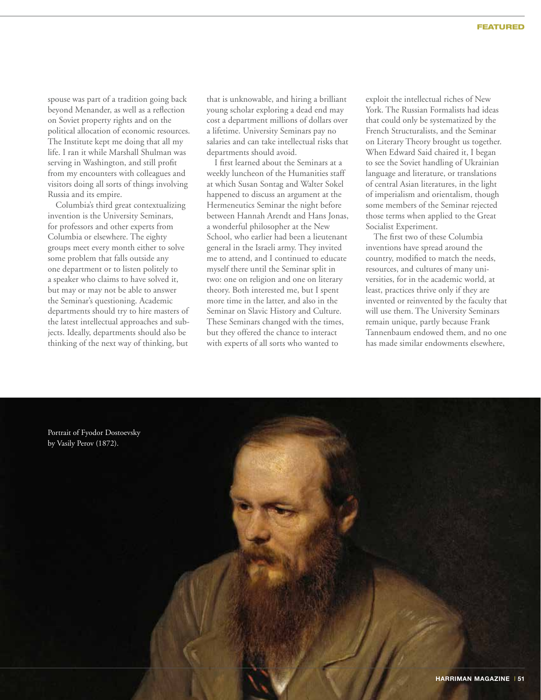spouse was part of a tradition going back beyond Menander, as well as a reflection on Soviet property rights and on the political allocation of economic resources. The Institute kept me doing that all my life. I ran it while Marshall Shulman was serving in Washington, and still profit from my encounters with colleagues and visitors doing all sorts of things involving Russia and its empire.

Columbia's third great contextualizing invention is the University Seminars, for professors and other experts from Columbia or elsewhere. The eighty groups meet every month either to solve some problem that falls outside any one department or to listen politely to a speaker who claims to have solved it, but may or may not be able to answer the Seminar's questioning. Academic departments should try to hire masters of the latest intellectual approaches and subjects. Ideally, departments should also be thinking of the next way of thinking, but

that is unknowable, and hiring a brilliant young scholar exploring a dead end may cost a department millions of dollars over a lifetime. University Seminars pay no salaries and can take intellectual risks that departments should avoid.

I first learned about the Seminars at a weekly luncheon of the Humanities staff at which Susan Sontag and Walter Sokel happened to discuss an argument at the Hermeneutics Seminar the night before between Hannah Arendt and Hans Jonas, a wonderful philosopher at the New School, who earlier had been a lieutenant general in the Israeli army. They invited me to attend, and I continued to educate myself there until the Seminar split in two: one on religion and one on literary theory. Both interested me, but I spent more time in the latter, and also in the Seminar on Slavic History and Culture. These Seminars changed with the times, but they offered the chance to interact with experts of all sorts who wanted to

exploit the intellectual riches of New York. The Russian Formalists had ideas that could only be systematized by the French Structuralists, and the Seminar on Literary Theory brought us together. When Edward Said chaired it, I began to see the Soviet handling of Ukrainian language and literature, or translations of central Asian literatures, in the light of imperialism and orientalism, though some members of the Seminar rejected those terms when applied to the Great Socialist Experiment.

The first two of these Columbia inventions have spread around the country, modified to match the needs, resources, and cultures of many universities, for in the academic world, at least, practices thrive only if they are invented or reinvented by the faculty that will use them. The University Seminars remain unique, partly because Frank Tannenbaum endowed them, and no one has made similar endowments elsewhere,

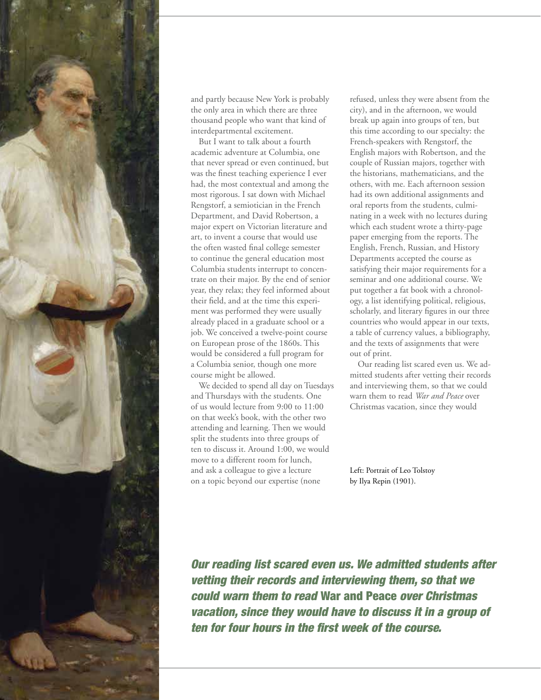

and partly because New York is probably the only area in which there are three thousand people who want that kind of interdepartmental excitement.

But I want to talk about a fourth academic adventure at Columbia, one that never spread or even continued, but was the finest teaching experience I ever had, the most contextual and among the most rigorous. I sat down with Michael Rengstorf, a semiotician in the French Department, and David Robertson, a major expert on Victorian literature and art, to invent a course that would use the often wasted final college semester to continue the general education most Columbia students interrupt to concentrate on their major. By the end of senior year, they relax; they feel informed about their field, and at the time this experiment was performed they were usually already placed in a graduate school or a job. We conceived a twelve-point course on European prose of the 1860s. This would be considered a full program for a Columbia senior, though one more course might be allowed.

We decided to spend all day on Tuesdays and Thursdays with the students. One of us would lecture from 9:00 to 11:00 on that week's book, with the other two attending and learning. Then we would split the students into three groups of ten to discuss it. Around 1:00, we would move to a different room for lunch, and ask a colleague to give a lecture on a topic beyond our expertise (none

refused, unless they were absent from the city), and in the afternoon, we would break up again into groups of ten, but this time according to our specialty: the French-speakers with Rengstorf, the English majors with Robertson, and the couple of Russian majors, together with the historians, mathematicians, and the others, with me. Each afternoon session had its own additional assignments and oral reports from the students, culminating in a week with no lectures during which each student wrote a thirty-page paper emerging from the reports. The English, French, Russian, and History Departments accepted the course as satisfying their major requirements for a seminar and one additional course. We put together a fat book with a chronology, a list identifying political, religious, scholarly, and literary figures in our three countries who would appear in our texts, a table of currency values, a bibliography, and the texts of assignments that were out of print.

Our reading list scared even us. We admitted students after vetting their records and interviewing them, so that we could warn them to read *War and Peace* over Christmas vacation, since they would

Left: Portrait of Leo Tolstoy by Ilya Repin (1901).

*Our reading list scared even us. We admitted students after vetting their records and interviewing them, so that we could warn them to read* War and Peace *over Christmas vacation, since they would have to discuss it in a group of ten for four hours in the first week of the course.*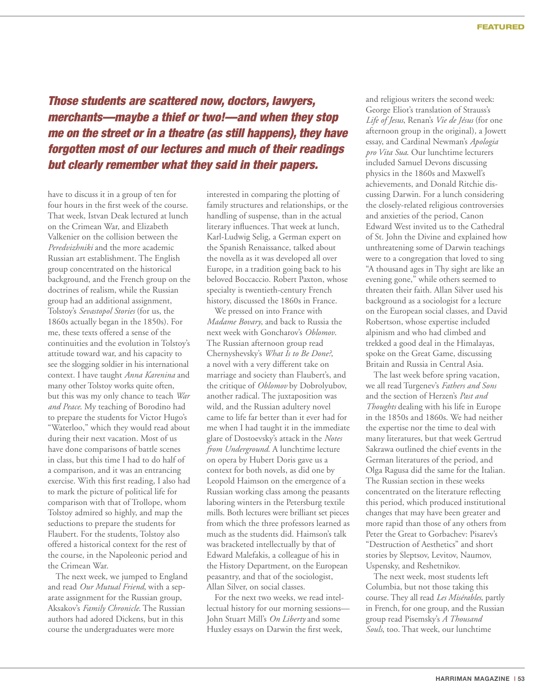*Those students are scattered now, doctors, lawyers, merchants—maybe a thief or two!—and when they stop me on the street or in a theatre (as still happens), they have forgotten most of our lectures and much of their readings but clearly remember what they said in their papers.*

have to discuss it in a group of ten for four hours in the first week of the course. That week, Istvan Deak lectured at lunch on the Crimean War, and Elizabeth Valkenier on the collision between the *Peredvizhniki* and the more academic Russian art establishment. The English group concentrated on the historical background, and the French group on the doctrines of realism, while the Russian group had an additional assignment, Tolstoy's *Sevastopol Stories* (for us, the 1860s actually began in the 1850s). For me, these texts offered a sense of the continuities and the evolution in Tolstoy's attitude toward war, and his capacity to see the slogging soldier in his international context. I have taught *Anna Karenina* and many other Tolstoy works quite often, but this was my only chance to teach *War and Peace*. My teaching of Borodino had to prepare the students for Victor Hugo's "Waterloo," which they would read about during their next vacation. Most of us have done comparisons of battle scenes in class, but this time I had to do half of a comparison, and it was an entrancing exercise. With this first reading, I also had to mark the picture of political life for comparison with that of Trollope, whom Tolstoy admired so highly, and map the seductions to prepare the students for Flaubert. For the students, Tolstoy also offered a historical context for the rest of the course, in the Napoleonic period and the Crimean War.

The next week, we jumped to England and read *Our Mutual Friend*, with a separate assignment for the Russian group, Aksakov's *Family Chronicle*. The Russian authors had adored Dickens, but in this course the undergraduates were more

interested in comparing the plotting of family structures and relationships, or the handling of suspense, than in the actual literary influences. That week at lunch, Karl-Ludwig Selig, a German expert on the Spanish Renaissance, talked about the novella as it was developed all over Europe, in a tradition going back to his beloved Boccaccio. Robert Paxton, whose specialty is twentieth-century French history, discussed the 1860s in France.

We pressed on into France with *Madame Bovary*, and back to Russia the next week with Goncharov's *Oblomov*. The Russian afternoon group read Chernyshevsky's *What Is to Be Done?*, a novel with a very different take on marriage and society than Flaubert's, and the critique of *Oblomov* by Dobrolyubov, another radical. The juxtaposition was wild, and the Russian adultery novel came to life far better than it ever had for me when I had taught it in the immediate glare of Dostoevsky's attack in the *Notes from Underground*. A lunchtime lecture on opera by Hubert Doris gave us a context for both novels, as did one by Leopold Haimson on the emergence of a Russian working class among the peasants laboring winters in the Petersburg textile mills. Both lectures were brilliant set pieces from which the three professors learned as much as the students did. Haimson's talk was bracketed intellectually by that of Edward Malefakis, a colleague of his in the History Department, on the European peasantry, and that of the sociologist, Allan Silver, on social classes.

For the next two weeks, we read intellectual history for our morning sessions— John Stuart Mill's *On Liberty* and some Huxley essays on Darwin the first week,

and religious writers the second week: George Eliot's translation of Strauss's *Life of Jesus*, Renan's *Vie de Jésus* (for one afternoon group in the original), a Jowett essay, and Cardinal Newman's *Apologia pro Vita Sua*. Our lunchtime lecturers included Samuel Devons discussing physics in the 1860s and Maxwell's achievements, and Donald Ritchie discussing Darwin. For a lunch considering the closely-related religious controversies and anxieties of the period, Canon Edward West invited us to the Cathedral of St. John the Divine and explained how unthreatening some of Darwin teachings were to a congregation that loved to sing "A thousand ages in Thy sight are like an evening gone," while others seemed to threaten their faith. Allan Silver used his background as a sociologist for a lecture on the European social classes, and David Robertson, whose expertise included alpinism and who had climbed and trekked a good deal in the Himalayas, spoke on the Great Game, discussing Britain and Russia in Central Asia.

The last week before spring vacation, we all read Turgenev's *Fathers and Sons* and the section of Herzen's *Past and Thoughts* dealing with his life in Europe in the 1850s and 1860s. We had neither the expertise nor the time to deal with many literatures, but that week Gertrud Sakrawa outlined the chief events in the German literatures of the period, and Olga Ragusa did the same for the Italian. The Russian section in these weeks concentrated on the literature reflecting this period, which produced institutional changes that may have been greater and more rapid than those of any others from Peter the Great to Gorbachev: Pisarev's "Destruction of Aesthetics" and short stories by Sleptsov, Levitov, Naumov, Uspensky, and Reshetnikov.

The next week, most students left Columbia, but not those taking this course. They all read *Les Misérables*, partly in French, for one group, and the Russian group read Pisemsky's *A Thousand Souls*, too. That week, our lunchtime